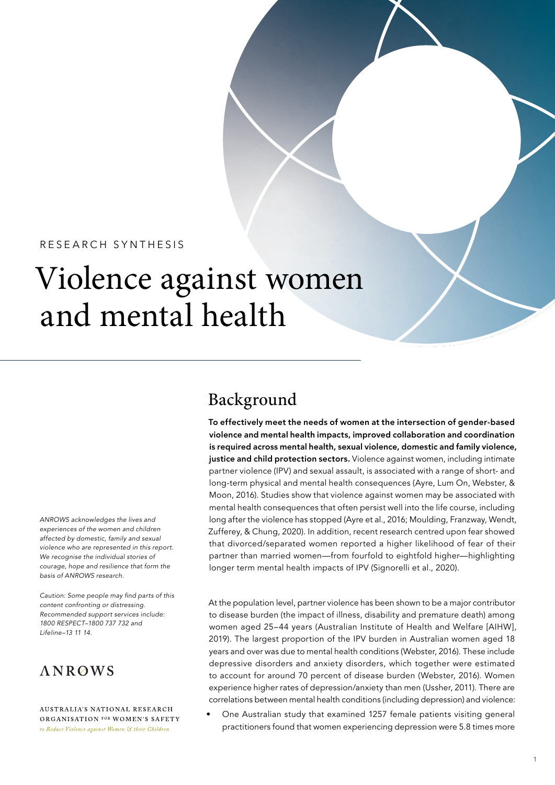### RESEARCH SYNTHESIS

# Violence against women and mental health

*ANROWS acknowledges the lives and experiences of the women and children affected by domestic, family and sexual violence who are represented in this report. We recognise the individual stories of courage, hope and resilience that form the basis of ANROWS research.*

Caution: Some people may find parts of this *content confronting or distressing. Recommended support services include: 1800 RESPECT–1800 737 732 and Lifeline–13 11 14.*

### **ANROWS**

**AUSTRALIA'S NATIONAL RESEARCH** ORGANISATION FOR WOMEN'S SAFETY to Reduce Violence against Women & their Children

### Background

To effectively meet the needs of women at the intersection of gender-based violence and mental health impacts, improved collaboration and coordination is required across mental health, sexual violence, domestic and family violence, justice and child protection sectors. Violence against women, including intimate partner violence (IPV) and sexual assault, is associated with a range of short- and long-term physical and mental health consequences (Ayre, Lum On, Webster, & Moon, 2016). Studies show that violence against women may be associated with mental health consequences that often persist well into the life course, including long after the violence has stopped (Ayre et al., 2016; Moulding, Franzway, Wendt, Zufferey, & Chung, 2020). In addition, recent research centred upon fear showed that divorced/separated women reported a higher likelihood of fear of their partner than married women—from fourfold to eightfold higher—highlighting longer term mental health impacts of IPV (Signorelli et al., 2020).

At the population level, partner violence has been shown to be a major contributor to disease burden (the impact of illness, disability and premature death) among women aged 25–44 years (Australian Institute of Health and Welfare [AIHW], 2019). The largest proportion of the IPV burden in Australian women aged 18 years and over was due to mental health conditions (Webster, 2016). These include depressive disorders and anxiety disorders, which together were estimated to account for around 70 percent of disease burden (Webster, 2016). Women experience higher rates of depression/anxiety than men (Ussher, 2011). There are correlations between mental health conditions (including depression) and violence:

• One Australian study that examined 1257 female patients visiting general practitioners found that women experiencing depression were 5.8 times more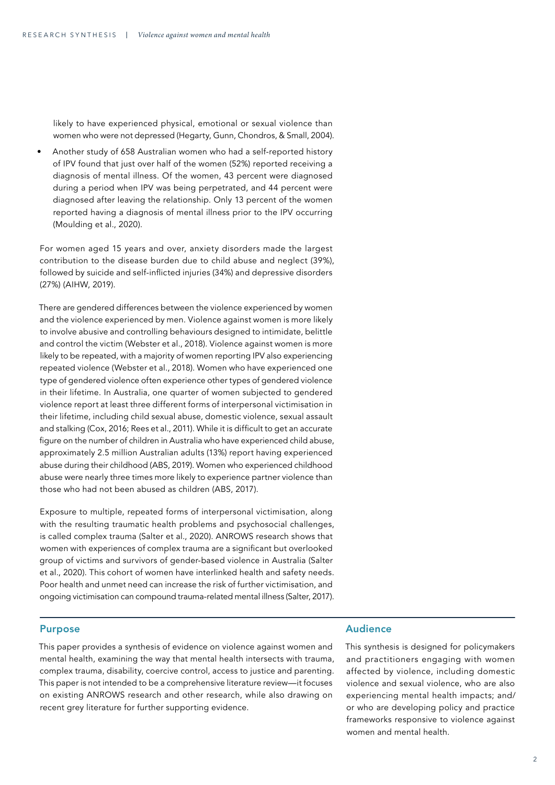likely to have experienced physical, emotional or sexual violence than women who were not depressed (Hegarty, Gunn, Chondros, & Small, 2004).

• Another study of 658 Australian women who had a self-reported history of IPV found that just over half of the women (52%) reported receiving a diagnosis of mental illness. Of the women, 43 percent were diagnosed during a period when IPV was being perpetrated, and 44 percent were diagnosed after leaving the relationship. Only 13 percent of the women reported having a diagnosis of mental illness prior to the IPV occurring (Moulding et al., 2020).

For women aged 15 years and over, anxiety disorders made the largest contribution to the disease burden due to child abuse and neglect (39%), followed by suicide and self-inflicted injuries (34%) and depressive disorders (27%) (AIHW, 2019).

There are gendered differences between the violence experienced by women and the violence experienced by men. Violence against women is more likely to involve abusive and controlling behaviours designed to intimidate, belittle and control the victim (Webster et al., 2018). Violence against women is more likely to be repeated, with a majority of women reporting IPV also experiencing repeated violence (Webster et al., 2018). Women who have experienced one type of gendered violence often experience other types of gendered violence in their lifetime. In Australia, one quarter of women subjected to gendered violence report at least three different forms of interpersonal victimisation in their lifetime, including child sexual abuse, domestic violence, sexual assault and stalking (Cox, 2016; Rees et al., 2011). While it is difficult to get an accurate figure on the number of children in Australia who have experienced child abuse, approximately 2.5 million Australian adults (13%) report having experienced abuse during their childhood (ABS, 2019). Women who experienced childhood abuse were nearly three times more likely to experience partner violence than those who had not been abused as children (ABS, 2017).

Exposure to multiple, repeated forms of interpersonal victimisation, along with the resulting traumatic health problems and psychosocial challenges, is called complex trauma (Salter et al., 2020). ANROWS research shows that women with experiences of complex trauma are a significant but overlooked group of victims and survivors of gender-based violence in Australia (Salter et al., 2020). This cohort of women have interlinked health and safety needs. Poor health and unmet need can increase the risk of further victimisation, and ongoing victimisation can compound trauma-related mental illness (Salter, 2017).

### Purpose

This paper provides a synthesis of evidence on violence against women and mental health, examining the way that mental health intersects with trauma, complex trauma, disability, coercive control, access to justice and parenting. This paper is not intended to be a comprehensive literature review—it focuses on existing ANROWS research and other research, while also drawing on recent grey literature for further supporting evidence.

### Audience

This synthesis is designed for policymakers and practitioners engaging with women affected by violence, including domestic violence and sexual violence, who are also experiencing mental health impacts; and/ or who are developing policy and practice frameworks responsive to violence against women and mental health.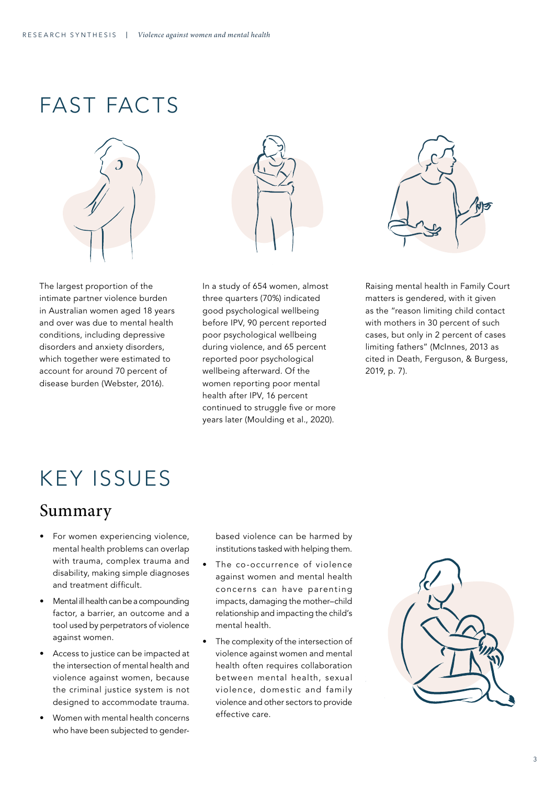## FAST FACTS





The largest proportion of the intimate partner violence burden in Australian women aged 18 years and over was due to mental health conditions, including depressive disorders and anxiety disorders, which together were estimated to account for around 70 percent of disease burden (Webster, 2016).

In a study of 654 women, almost three quarters (70%) indicated good psychological wellbeing before IPV, 90 percent reported poor psychological wellbeing during violence, and 65 percent reported poor psychological wellbeing afterward. Of the women reporting poor mental health after IPV, 16 percent continued to struggle five or more years later (Moulding et al., 2020).



Raising mental health in Family Court matters is gendered, with it given as the "reason limiting child contact with mothers in 30 percent of such cases, but only in 2 percent of cases limiting fathers" (McInnes, 2013 as cited in Death, Ferguson, & Burgess, 2019, p. 7).

## KEY ISSUES

### Summary

- For women experiencing violence, mental health problems can overlap with trauma, complex trauma and disability, making simple diagnoses and treatment difficult.
- Mental ill health can be a compounding factor, a barrier, an outcome and a tool used by perpetrators of violence against women.
- Access to justice can be impacted at the intersection of mental health and violence against women, because the criminal justice system is not designed to accommodate trauma.
- Women with mental health concerns who have been subjected to gender-

based violence can be harmed by institutions tasked with helping them.

- The co-occurrence of violence against women and mental health concerns can have parenting impacts, damaging the mother–child relationship and impacting the child's mental health.
- The complexity of the intersection of violence against women and mental health often requires collaboration between mental health, sexual violence, domestic and family violence and other sectors to provide effective care.

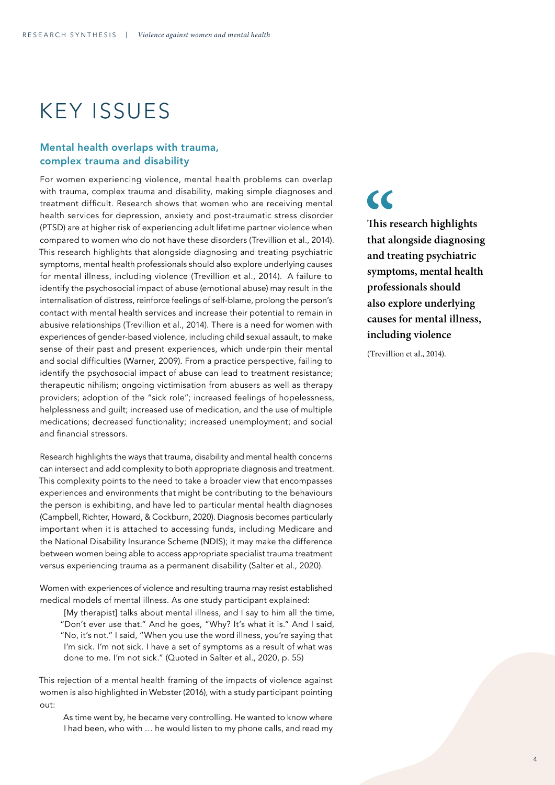# KEY ISSUES

### Mental health overlaps with trauma, complex trauma and disability

For women experiencing violence, mental health problems can overlap with trauma, complex trauma and disability, making simple diagnoses and treatment difficult. Research shows that women who are receiving mental health services for depression, anxiety and post-traumatic stress disorder (PTSD) are at higher risk of experiencing adult lifetime partner violence when compared to women who do not have these disorders (Trevillion et al., 2014). This research highlights that alongside diagnosing and treating psychiatric symptoms, mental health professionals should also explore underlying causes for mental illness, including violence (Trevillion et al., 2014). A failure to identify the psychosocial impact of abuse (emotional abuse) may result in the internalisation of distress, reinforce feelings of self-blame, prolong the person's contact with mental health services and increase their potential to remain in abusive relationships (Trevillion et al., 2014). There is a need for women with experiences of gender-based violence, including child sexual assault, to make sense of their past and present experiences, which underpin their mental and social difficulties (Warner, 2009). From a practice perspective, failing to identify the psychosocial impact of abuse can lead to treatment resistance; therapeutic nihilism; ongoing victimisation from abusers as well as therapy providers; adoption of the "sick role"; increased feelings of hopelessness, helplessness and guilt; increased use of medication, and the use of multiple medications; decreased functionality; increased unemployment; and social and financial stressors.

Research highlights the ways that trauma, disability and mental health concerns can intersect and add complexity to both appropriate diagnosis and treatment. This complexity points to the need to take a broader view that encompasses experiences and environments that might be contributing to the behaviours the person is exhibiting, and have led to particular mental health diagnoses (Campbell, Richter, Howard, & Cockburn, 2020). Diagnosis becomes particularly important when it is attached to accessing funds, including Medicare and the National Disability Insurance Scheme (NDIS); it may make the difference between women being able to access appropriate specialist trauma treatment versus experiencing trauma as a permanent disability (Salter et al., 2020).

Women with experiences of violence and resulting trauma may resist established medical models of mental illness. As one study participant explained:

[My therapist] talks about mental illness, and I say to him all the time, "Don't ever use that." And he goes, "Why? It's what it is." And I said, "No, it's not." I said, "When you use the word illness, you're saying that I'm sick. I'm not sick. I have a set of symptoms as a result of what was done to me. I'm not sick." (Quoted in Salter et al., 2020, p. 55)

This rejection of a mental health framing of the impacts of violence against women is also highlighted in Webster (2016), with a study participant pointing out:

As time went by, he became very controlling. He wanted to know where I had been, who with … he would listen to my phone calls, and read my  $\epsilon$ 

**This research highlights that alongside diagnosing and treating psychiatric symptoms, mental health professionals should also explore underlying causes for mental illness, including violence** 

(Trevillion et al., 2014).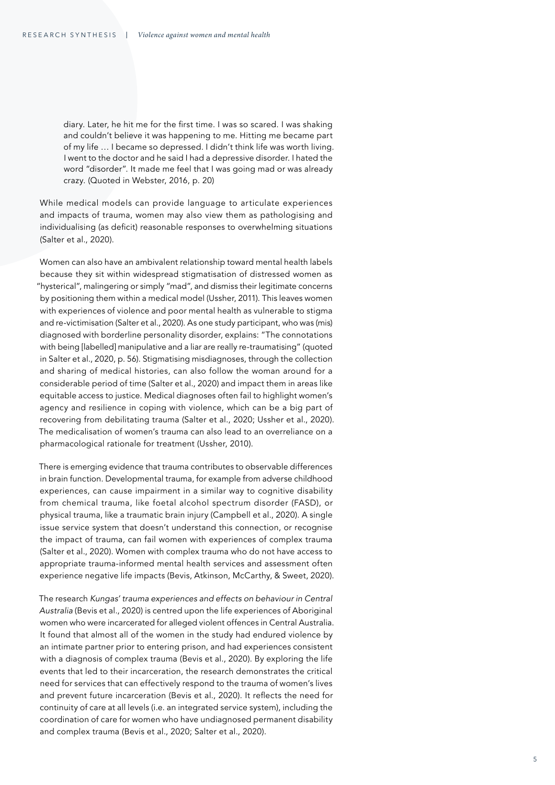diary. Later, he hit me for the first time. I was so scared. I was shaking and couldn't believe it was happening to me. Hitting me became part of my life … I became so depressed. I didn't think life was worth living. I went to the doctor and he said I had a depressive disorder. I hated the word "disorder". It made me feel that I was going mad or was already crazy. (Quoted in Webster, 2016, p. 20)

While medical models can provide language to articulate experiences and impacts of trauma, women may also view them as pathologising and individualising (as deficit) reasonable responses to overwhelming situations (Salter et al., 2020).

Women can also have an ambivalent relationship toward mental health labels because they sit within widespread stigmatisation of distressed women as "hysterical", malingering or simply "mad", and dismiss their legitimate concerns by positioning them within a medical model (Ussher, 2011). This leaves women with experiences of violence and poor mental health as vulnerable to stigma and re-victimisation (Salter et al., 2020). As one study participant, who was (mis) diagnosed with borderline personality disorder, explains: "The connotations with being [labelled] manipulative and a liar are really re-traumatising" (quoted in Salter et al., 2020, p. 56). Stigmatising misdiagnoses, through the collection and sharing of medical histories, can also follow the woman around for a considerable period of time (Salter et al., 2020) and impact them in areas like equitable access to justice. Medical diagnoses often fail to highlight women's agency and resilience in coping with violence, which can be a big part of recovering from debilitating trauma (Salter et al., 2020; Ussher et al., 2020). The medicalisation of women's trauma can also lead to an overreliance on a pharmacological rationale for treatment (Ussher, 2010).

There is emerging evidence that trauma contributes to observable differences in brain function. Developmental trauma, for example from adverse childhood experiences, can cause impairment in a similar way to cognitive disability from chemical trauma, like foetal alcohol spectrum disorder (FASD), or physical trauma, like a traumatic brain injury (Campbell et al., 2020). A single issue service system that doesn't understand this connection, or recognise the impact of trauma, can fail women with experiences of complex trauma (Salter et al., 2020). Women with complex trauma who do not have access to appropriate trauma-informed mental health services and assessment often experience negative life impacts (Bevis, Atkinson, McCarthy, & Sweet, 2020).

The research *Kungas' trauma experiences and effects on behaviour in Central Australia* (Bevis et al., 2020) is centred upon the life experiences of Aboriginal women who were incarcerated for alleged violent offences in Central Australia. It found that almost all of the women in the study had endured violence by an intimate partner prior to entering prison, and had experiences consistent with a diagnosis of complex trauma (Bevis et al., 2020). By exploring the life events that led to their incarceration, the research demonstrates the critical need for services that can effectively respond to the trauma of women's lives and prevent future incarceration (Bevis et al., 2020). It reflects the need for continuity of care at all levels (i.e. an integrated service system), including the coordination of care for women who have undiagnosed permanent disability and complex trauma (Bevis et al., 2020; Salter et al., 2020).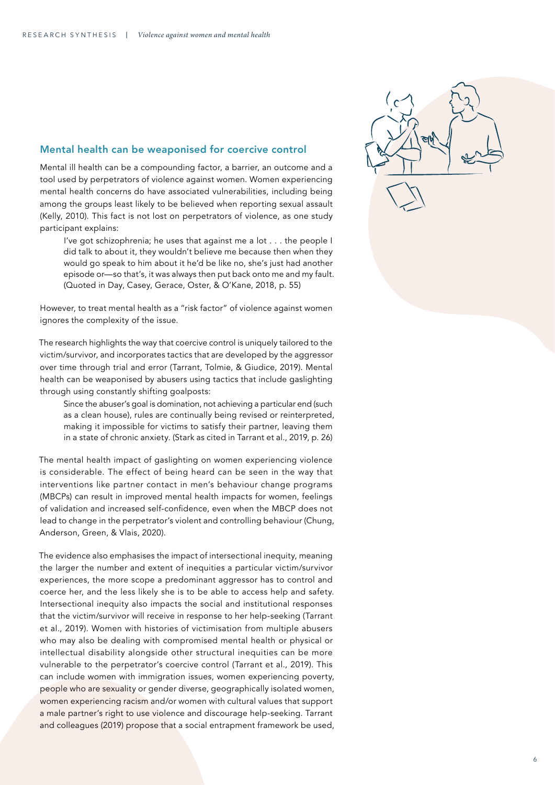### Mental health can be weaponised for coercive control

Mental ill health can be a compounding factor, a barrier, an outcome and a tool used by perpetrators of violence against women. Women experiencing mental health concerns do have associated vulnerabilities, including being among the groups least likely to be believed when reporting sexual assault (Kelly, 2010). This fact is not lost on perpetrators of violence, as one study participant explains:

I've got schizophrenia; he uses that against me a lot . . . the people I did talk to about it, they wouldn't believe me because then when they would go speak to him about it he'd be like no, she's just had another episode or—so that's, it was always then put back onto me and my fault. (Quoted in Day, Casey, Gerace, Oster, & O'Kane, 2018, p. 55)

However, to treat mental health as a "risk factor" of violence against women ignores the complexity of the issue.

The research highlights the way that coercive control is uniquely tailored to the victim/survivor, and incorporates tactics that are developed by the aggressor over time through trial and error (Tarrant, Tolmie, & Giudice, 2019). Mental health can be weaponised by abusers using tactics that include gaslighting through using constantly shifting goalposts:

Since the abuser's goal is domination, not achieving a particular end (such as a clean house), rules are continually being revised or reinterpreted, making it impossible for victims to satisfy their partner, leaving them in a state of chronic anxiety. (Stark as cited in Tarrant et al., 2019, p. 26)

The mental health impact of gaslighting on women experiencing violence is considerable. The effect of being heard can be seen in the way that interventions like partner contact in men's behaviour change programs (MBCPs) can result in improved mental health impacts for women, feelings of validation and increased self-confidence, even when the MBCP does not lead to change in the perpetrator's violent and controlling behaviour (Chung, Anderson, Green, & Vlais, 2020).

The evidence also emphasises the impact of intersectional inequity, meaning the larger the number and extent of inequities a particular victim/survivor experiences, the more scope a predominant aggressor has to control and coerce her, and the less likely she is to be able to access help and safety. Intersectional inequity also impacts the social and institutional responses that the victim/survivor will receive in response to her help-seeking (Tarrant et al., 2019). Women with histories of victimisation from multiple abusers who may also be dealing with compromised mental health or physical or intellectual disability alongside other structural inequities can be more vulnerable to the perpetrator's coercive control (Tarrant et al., 2019). This can include women with immigration issues, women experiencing poverty, people who are sexuality or gender diverse, geographically isolated women, women experiencing racism and/or women with cultural values that support a male partner's right to use violence and discourage help-seeking. Tarrant and colleagues (2019) propose that a social entrapment framework be used,

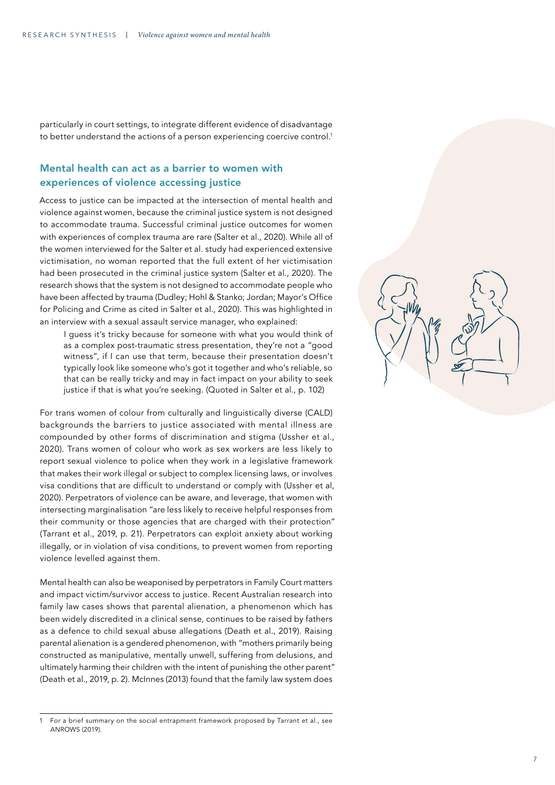particularly in court settings, to integrate different evidence of disadvantage to better understand the actions of a person experiencing coercive control. 1

### Mental health can act as a barrier to women with experiences of violence accessing justice

Access to justice can be impacted at the intersection of mental health and violence against women, because the criminal justice system is not designed to accommodate trauma. Successful criminal justice outcomes for women with experiences of complex trauma are rare (Salter et al., 2020). While all of the women interviewed for the Salter et al. study had experienced extensive victimisation, no woman reported that the full extent of her victimisation had been prosecuted in the criminal justice system (Salter et al., 2020). The research shows that the system is not designed to accommodate people who have been affected by trauma (Dudley; Hohl & Stanko; Jordan; Mayor's Office for Policing and Crime as cited in Salter et al., 2020). This was highlighted in an interview with a sexual assault service manager, who explained:

I guess it's tricky because for someone with what you would think of as a complex post-traumatic stress presentation, they're not a "good witness", if I can use that term, because their presentation doesn't typically look like someone who's got it together and who's reliable, so that can be really tricky and may in fact impact on your ability to seek justice if that is what you're seeking. (Quoted in Salter et al., p. 102)

For trans women of colour from culturally and linguistically diverse (CALD) backgrounds the barriers to justice associated with mental illness are compounded by other forms of discrimination and stigma (Ussher et al., 2020). Trans women of colour who work as sex workers are less likely to report sexual violence to police when they work in a legislative framework that makes their work illegal or subject to complex licensing laws, or involves visa conditions that are difficult to understand or comply with (Ussher et al, 2020). Perpetrators of violence can be aware, and leverage, that women with intersecting marginalisation "are less likely to receive helpful responses from their community or those agencies that are charged with their protection" (Tarrant et al., 2019, p. 21). Perpetrators can exploit anxiety about working illegally, or in violation of visa conditions, to prevent women from reporting violence levelled against them.

Mental health can also be weaponised by perpetrators in Family Court matters and impact victim/survivor access to justice. Recent Australian research into family law cases shows that parental alienation, a phenomenon which has been widely discredited in a clinical sense, continues to be raised by fathers as a defence to child sexual abuse allegations (Death et al., 2019). Raising parental alienation is a gendered phenomenon, with "mothers primarily being constructed as manipulative, mentally unwell, suffering from delusions, and ultimately harming their children with the intent of punishing the other parent" (Death et al., 2019, p. 2). McInnes (2013) found that the family law system does<br>1 For a brief summary on the social entrapment framework proposed by Tarrant et al., see



ANROWS (2019).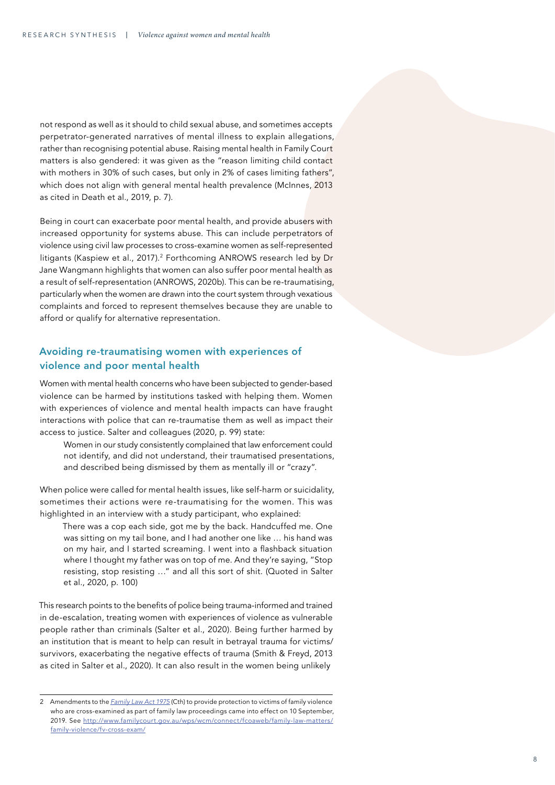not respond as well as it should to child sexual abuse, and sometimes accepts perpetrator-generated narratives of mental illness to explain allegations, rather than recognising potential abuse. Raising mental health in Family Court matters is also gendered: it was given as the "reason limiting child contact with mothers in 30% of such cases, but only in 2% of cases limiting fathers", which does not align with general mental health prevalence (McInnes, 2013) as cited in Death et al., 2019, p. 7).

Being in court can exacerbate poor mental health, and provide abusers with increased opportunity for systems abuse. This can include perpetrators of violence using civil law processes to cross-examine women as self-represented litigants (Kaspiew et al., 2017).<sup>2</sup> Forthcoming ANROWS research led by Dr Jane Wangmann highlights that women can also suffer poor mental health as a result of self-representation (ANROWS, 2020b). This can be re-traumatising, particularly when the women are drawn into the court system through vexatious complaints and forced to represent themselves because they are unable to afford or qualify for alternative representation.

### Avoiding re-traumatising women with experiences of violence and poor mental health

Women with mental health concerns who have been subjected to gender-based violence can be harmed by institutions tasked with helping them. Women with experiences of violence and mental health impacts can have fraught interactions with police that can re-traumatise them as well as impact their access to justice. Salter and colleagues (2020, p. 99) state:

Women in our study consistently complained that law enforcement could not identify, and did not understand, their traumatised presentations, and described being dismissed by them as mentally ill or "crazy".

When police were called for mental health issues, like self-harm or suicidality, sometimes their actions were re-traumatising for the women. This was highlighted in an interview with a study participant, who explained:

There was a cop each side, got me by the back. Handcuffed me. One was sitting on my tail bone, and I had another one like … his hand was on my hair, and I started screaming. I went into a flashback situation where I thought my father was on top of me. And they're saying, "Stop resisting, stop resisting …" and all this sort of shit. (Quoted in Salter et al., 2020, p. 100)

This research points to the benefits of police being trauma-informed and trained in de-escalation, treating women with experiences of violence as vulnerable people rather than criminals (Salter et al., 2020). Being further harmed by an institution that is meant to help can result in betrayal trauma for victims/ survivors, exacerbating the negative effects of trauma (Smith & Freyd, 2013 as cited in Salter et al., 2020). It can also result in the women being unlikely<br>
2 Amendments to the *Family Law Act 1975* (Cth) to provide protection to victims of family violence

who are cross-examined as part of family law proceedings came into effect on 10 September, 2019. See [http://www.familycourt.gov.au/wps/wcm/connect/fcoaweb/family-law-matters/](http://www.familycourt.gov.au/wps/wcm/connect/fcoaweb/family-law-matters/family-violence/fv-cross-exam/) [family-violence/fv-cross-exam/](http://www.familycourt.gov.au/wps/wcm/connect/fcoaweb/family-law-matters/family-violence/fv-cross-exam/)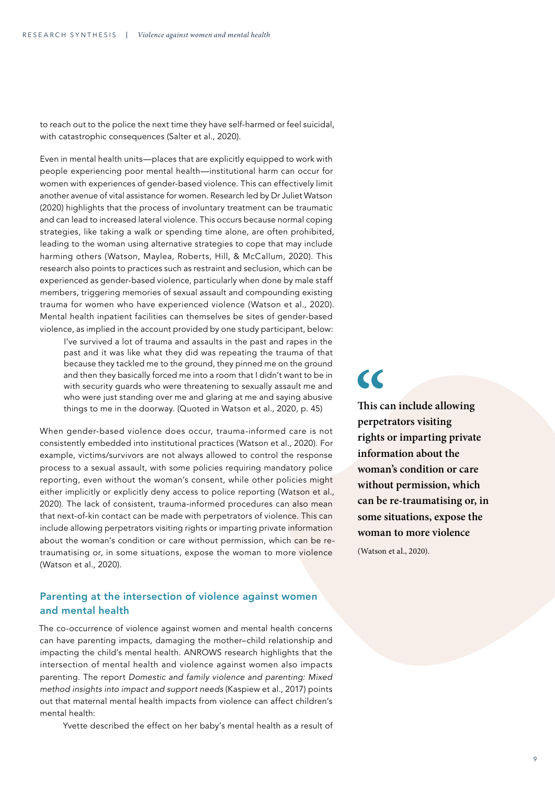to reach out to the police the next time they have self-harmed or feel suicidal, with catastrophic consequences (Salter et al., 2020).

Even in mental health units—places that are explicitly equipped to work with people experiencing poor mental health—institutional harm can occur for women with experiences of gender-based violence. This can effectively limit another avenue of vital assistance for women. Research led by Dr Juliet Watson (2020) highlights that the process of involuntary treatment can be traumatic and can lead to increased lateral violence. This occurs because normal coping strategies, like taking a walk or spending time alone, are often prohibited, leading to the woman using alternative strategies to cope that may include harming others (Watson, Maylea, Roberts, Hill, & McCallum, 2020). This research also points to practices such as restraint and seclusion, which can be experienced as gender-based violence, particularly when done by male staff members, triggering memories of sexual assault and compounding existing trauma for women who have experienced violence (Watson et al., 2020). Mental health inpatient facilities can themselves be sites of gender-based violence, as implied in the account provided by one study participant, below:

I've survived a lot of trauma and assaults in the past and rapes in the past and it was like what they did was repeating the trauma of that because they tackled me to the ground, they pinned me on the ground and then they basically forced me into a room that I didn't want to be in with security guards who were threatening to sexually assault me and who were just standing over me and glaring at me and saying abusive things to me in the doorway. (Quoted in Watson et al., 2020, p. 45)

When gender-based violence does occur, trauma-informed care is not consistently embedded into institutional practices (Watson et al., 2020). For example, victims/survivors are not always allowed to control the response process to a sexual assault, with some policies requiring mandatory police reporting, even without the woman's consent, while other policies might either implicitly or explicitly deny access to police reporting (Watson et al., 2020). The lack of consistent, trauma-informed procedures can also mean that next-of-kin contact can be made with perpetrators of violence. This can include allowing perpetrators visiting rights or imparting private information about the woman's condition or care without permission, which can be retraumatising or, in some situations, expose the woman to more violence (Watson et al., 2020).

### Parenting at the intersection of violence against women and mental health

The co-occurrence of violence against women and mental health concerns can have parenting impacts, damaging the mother–child relationship and impacting the child's mental health. ANROWS research highlights that the intersection of mental health and violence against women also impacts parenting. The report *Domestic and family violence and parenting: Mixed method insights into impact and support needs* (Kaspiew et al., 2017) points out that maternal mental health impacts from violence can affect children's mental health:

Yvette described the effect on her baby's mental health as a result of

# $\overline{\mathbf{C}}$

**This can include allowing perpetrators visiting rights or imparting private information about the woman's condition or care without permission, which can be re-traumatising or, in some situations, expose the woman to more violence** 

(Watson et al., 2020).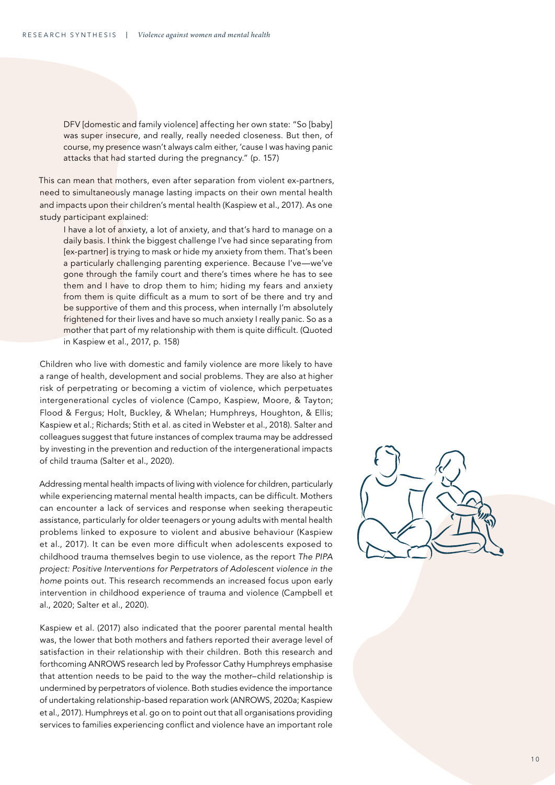DFV [domestic and family violence] affecting her own state: "So [baby] was super insecure, and really, really needed closeness. But then, of course, my presence wasn't always calm either, 'cause I was having panic attacks that had started during the pregnancy." (p. 157)

This can mean that mothers, even after separation from violent ex-partners, need to simultaneously manage lasting impacts on their own mental health and impacts upon their children's mental health (Kaspiew et al., 2017). As one study participant explained:

I have a lot of anxiety, a lot of anxiety, and that's hard to manage on a daily basis. I think the biggest challenge I've had since separating from [ex-partner] is trying to mask or hide my anxiety from them. That's been a particularly challenging parenting experience. Because I've—we've gone through the family court and there's times where he has to see them and I have to drop them to him; hiding my fears and anxiety from them is quite difficult as a mum to sort of be there and try and be supportive of them and this process, when internally I'm absolutely frightened for their lives and have so much anxiety I really panic. So as a mother that part of my relationship with them is quite difficult. (Quoted in Kaspiew et al., 2017, p. 158)

Children who live with domestic and family violence are more likely to have a range of health, development and social problems. They are also at higher risk of perpetrating or becoming a victim of violence, which perpetuates intergenerational cycles of violence (Campo, Kaspiew, Moore, & Tayton; Flood & Fergus; Holt, Buckley, & Whelan; Humphreys, Houghton, & Ellis; Kaspiew et al.; Richards; Stith et al. as cited in Webster et al., 2018). Salter and colleagues suggest that future instances of complex trauma may be addressed by investing in the prevention and reduction of the intergenerational impacts of child trauma (Salter et al., 2020).

Addressing mental health impacts of living with violence for children, particularly while experiencing maternal mental health impacts, can be difficult. Mothers can encounter a lack of services and response when seeking therapeutic assistance, particularly for older teenagers or young adults with mental health problems linked to exposure to violent and abusive behaviour (Kaspiew et al., 2017). It can be even more difficult when adolescents exposed to childhood trauma themselves begin to use violence, as the report *The PIPA project: Positive Interventions for Perpetrators of Adolescent violence in the home* points out. This research recommends an increased focus upon early intervention in childhood experience of trauma and violence (Campbell et al., 2020; Salter et al., 2020).

Kaspiew et al. (2017) also indicated that the poorer parental mental health was, the lower that both mothers and fathers reported their average level of satisfaction in their relationship with their children. Both this research and forthcoming ANROWS research led by Professor Cathy Humphreys emphasise that attention needs to be paid to the way the mother–child relationship is undermined by perpetrators of violence. Both studies evidence the importance of undertaking relationship-based reparation work (ANROWS, 2020a; Kaspiew et al., 2017). Humphreys et al. go on to point out that all organisations providing services to families experiencing conflict and violence have an important role

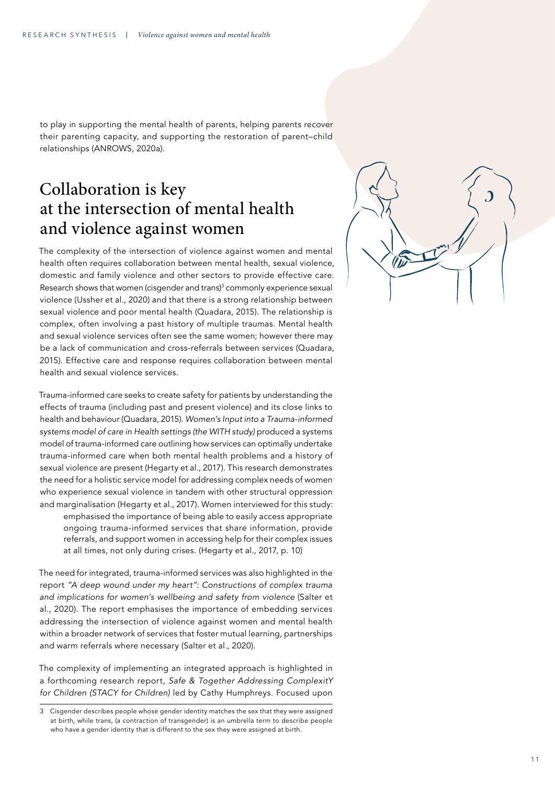to play in supporting the mental health of parents, helping parents recover their parenting capacity, and supporting the restoration of parent–child relationships (ANROWS, 2020a).

### Collaboration is key at the intersection of mental health and violence against women

The complexity of the intersection of violence against women and mental health often requires collaboration between mental health, sexual violence, domestic and family violence and other sectors to provide effective care. Research shows that women (cisgender and trans) 3 commonly experience sexual violence (Ussher et al., 2020) and that there is a strong relationship between sexual violence and poor mental health (Quadara, 2015). The relationship is complex, often involving a past history of multiple traumas. Mental health and sexual violence services often see the same women; however there may be a lack of communication and cross-referrals between services (Quadara, 2015). Effective care and response requires collaboration between mental health and sexual violence services.

Trauma-informed care seeks to create safety for patients by understanding the effects of trauma (including past and present violence) and its close links to health and behaviour (Quadara, 2015). *Women's Input into a Trauma-informed systems model of care in Health settings (the WITH study)* produced a systems model of trauma-informed care outlining how services can optimally undertake trauma-informed care when both mental health problems and a history of sexual violence are present (Hegarty et al., 2017). This research demonstrates the need for a holistic service model for addressing complex needs of women who experience sexual violence in tandem with other structural oppression and marginalisation (Hegarty et al., 2017). Women interviewed for this study: emphasised the importance of being able to easily access appropriate ongoing trauma-informed services that share information, provide referrals, and support women in accessing help for their complex issues at all times, not only during crises. (Hegarty et al., 2017, p. 10)

The need for integrated, trauma-informed services was also highlighted in the report *"A deep wound under my heart": Constructions of complex trauma and implications for women's wellbeing and safety from violence* (Salter et al., 2020). The report emphasises the importance of embedding services addressing the intersection of violence against women and mental health within a broader network of services that foster mutual learning, partnerships and warm referrals where necessary (Salter et al., 2020).

The complexity of implementing an integrated approach is highlighted in a forthcoming research report, *Safe & Together Addressing ComplexitY for Children (STACY for Children)* led by Cathy Humphreys. Focused upon 3 Cisgender describes people whose gender identity matches the sex that they were assigned



at birth, while trans, (a contraction of transgender) is an umbrella term to describe people who have a gender identity that is different to the sex they were assigned at birth.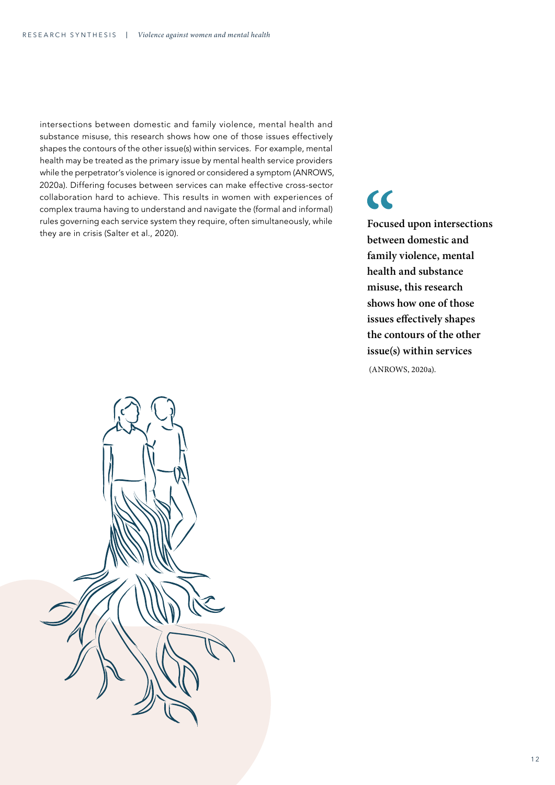intersections between domestic and family violence, mental health and substance misuse, this research shows how one of those issues effectively shapes the contours of the other issue(s) within services. For example, mental health may be treated as the primary issue by mental health service providers while the perpetrator's violence is ignored or considered a symptom (ANROWS, 2020a). Differing focuses between services can make effective cross-sector collaboration hard to achieve. This results in women with experiences of complex trauma having to understand and navigate the (formal and informal) rules governing each service system they require, often simultaneously, while they are in crisis (Salter et al., 2020).

# $\overline{\mathbf{C}}$

**Focused upon intersections between domestic and family violence, mental health and substance misuse, this research shows how one of those issues effectively shapes the contours of the other issue(s) within services** (ANROWS, 2020a).

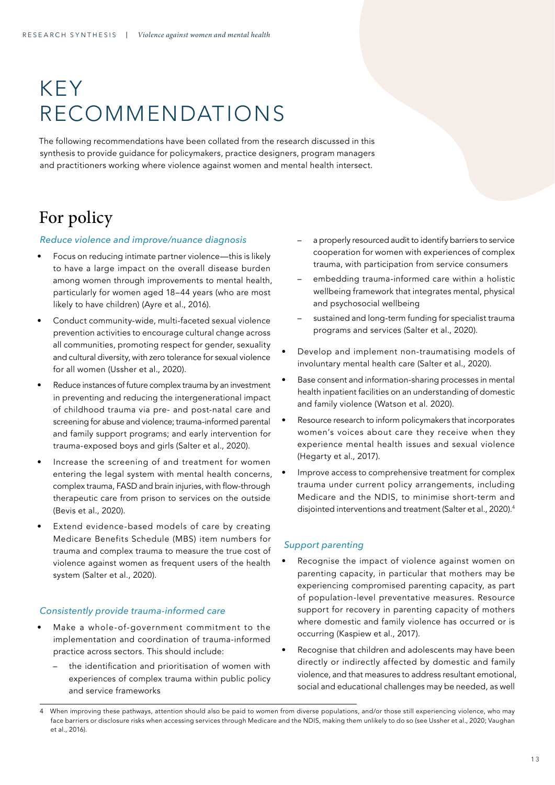# KEY RECOMMENDATIONS

The following recommendations have been collated from the research discussed in this synthesis to provide guidance for policymakers, practice designers, program managers and practitioners working where violence against women and mental health intersect.

## For policy

### *Reduce violence and improve/nuance diagnosis*

- Focus on reducing intimate partner violence—this is likely to have a large impact on the overall disease burden among women through improvements to mental health, particularly for women aged 18–44 years (who are most likely to have children) (Ayre et al., 2016).
- Conduct community-wide, multi-faceted sexual violence prevention activities to encourage cultural change across all communities, promoting respect for gender, sexuality and cultural diversity, with zero tolerance for sexual violence for all women (Ussher et al., 2020).
- Reduce instances of future complex trauma by an investment in preventing and reducing the intergenerational impact of childhood trauma via pre- and post-natal care and screening for abuse and violence; trauma-informed parental and family support programs; and early intervention for trauma-exposed boys and girls (Salter et al., 2020).
- Increase the screening of and treatment for women entering the legal system with mental health concerns, complex trauma, FASD and brain injuries, with flow-through therapeutic care from prison to services on the outside (Bevis et al., 2020).
- Extend evidence-based models of care by creating Medicare Benefits Schedule (MBS) item numbers for trauma and complex trauma to measure the true cost of violence against women as frequent users of the health system (Salter et al., 2020).

### *Consistently provide trauma-informed care*

- Make a whole-of-government commitment to the implementation and coordination of trauma-informed practice across sectors. This should include:
	- the identification and prioritisation of women with experiences of complex trauma within public policy and service frameworks
- a properly resourced audit to identify barriers to service cooperation for women with experiences of complex trauma, with participation from service consumers
- embedding trauma-informed care within a holistic wellbeing framework that integrates mental, physical and psychosocial wellbeing
- sustained and long-term funding for specialist trauma programs and services (Salter et al., 2020).
- Develop and implement non-traumatising models of involuntary mental health care (Salter et al., 2020).
- Base consent and information-sharing processes in mental health inpatient facilities on an understanding of domestic and family violence (Watson et al. 2020).
- Resource research to inform policymakers that incorporates women's voices about care they receive when they experience mental health issues and sexual violence (Hegarty et al., 2017).
- Improve access to comprehensive treatment for complex trauma under current policy arrangements, including Medicare and the NDIS, to minimise short-term and disjointed interventions and treatment (Salter et al., 2020).<sup>4</sup>

### *Support parenting*

- Recognise the impact of violence against women on parenting capacity, in particular that mothers may be experiencing compromised parenting capacity, as part of population-level preventative measures. Resource support for recovery in parenting capacity of mothers where domestic and family violence has occurred or is occurring (Kaspiew et al., 2017).
- Recognise that children and adolescents may have been directly or indirectly affected by domestic and family violence, and that measures to address resultant emotional, social and educational challenges may be needed, as well

When improving these pathways, attention should also be paid to women from diverse populations, and/or those still experiencing violence, who may face barriers or disclosure risks when accessing services through Medicare and the NDIS, making them unlikely to do so (see Ussher et al., 2020; Vaughan et al., 2016).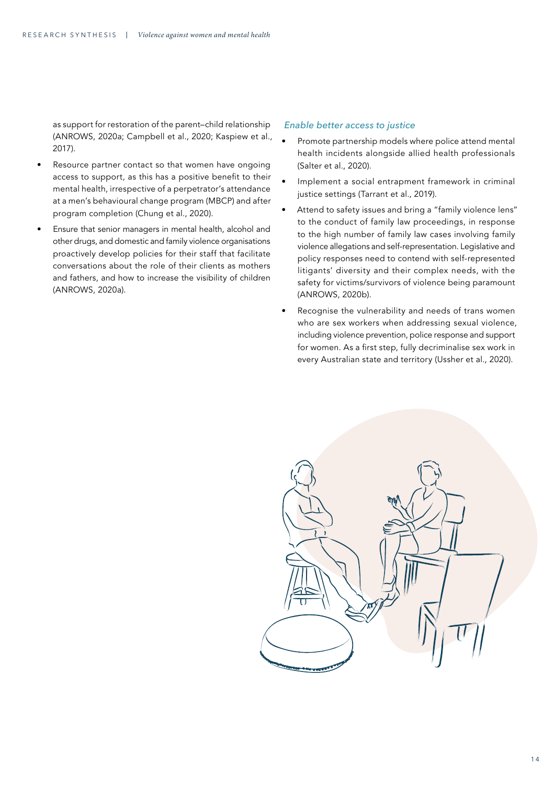as support for restoration of the parent–child relationship (ANROWS, 2020a; Campbell et al., 2020; Kaspiew et al., 2017).

- Resource partner contact so that women have ongoing access to support, as this has a positive benefit to their mental health, irrespective of a perpetrator's attendance at a men's behavioural change program (MBCP) and after program completion (Chung et al., 2020).
- Ensure that senior managers in mental health, alcohol and other drugs, and domestic and family violence organisations proactively develop policies for their staff that facilitate conversations about the role of their clients as mothers and fathers, and how to increase the visibility of children (ANROWS, 2020a).

#### *Enable better access to justice*

- Promote partnership models where police attend mental health incidents alongside allied health professionals (Salter et al., 2020).
- Implement a social entrapment framework in criminal justice settings (Tarrant et al., 2019).
- Attend to safety issues and bring a "family violence lens" to the conduct of family law proceedings, in response to the high number of family law cases involving family violence allegations and self-representation. Legislative and policy responses need to contend with self-represented litigants' diversity and their complex needs, with the safety for victims/survivors of violence being paramount (ANROWS, 2020b).
- Recognise the vulnerability and needs of trans women who are sex workers when addressing sexual violence, including violence prevention, police response and support for women. As a first step, fully decriminalise sex work in every Australian state and territory (Ussher et al., 2020).

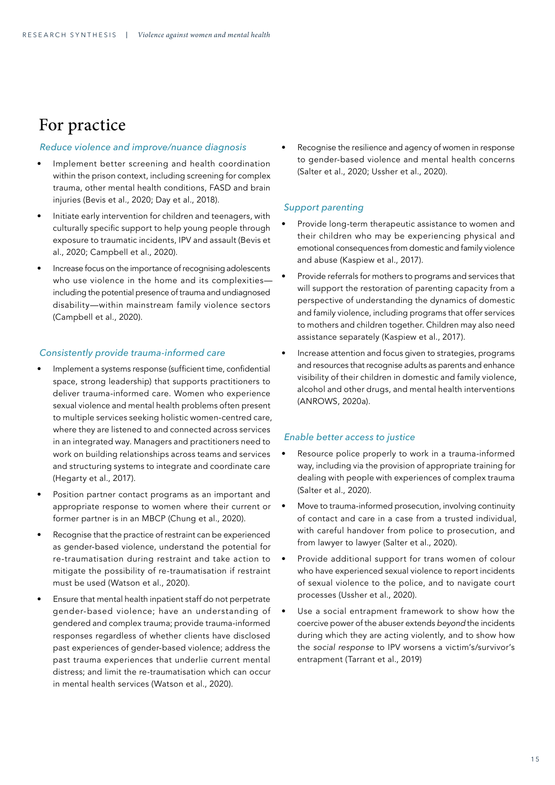### For practice

### *Reduce violence and improve/nuance diagnosis*

- Implement better screening and health coordination within the prison context, including screening for complex trauma, other mental health conditions, FASD and brain injuries (Bevis et al., 2020; Day et al., 2018).
- Initiate early intervention for children and teenagers, with culturally specific support to help young people through exposure to traumatic incidents, IPV and assault (Bevis et al., 2020; Campbell et al., 2020).
- Increase focus on the importance of recognising adolescents who use violence in the home and its complexities including the potential presence of trauma and undiagnosed disability—within mainstream family violence sectors (Campbell et al., 2020).

### *Consistently provide trauma-informed care*

- Implement a systems response (sufficient time, confidential space, strong leadership) that supports practitioners to deliver trauma-informed care. Women who experience sexual violence and mental health problems often present to multiple services seeking holistic women-centred care, where they are listened to and connected across services in an integrated way. Managers and practitioners need to work on building relationships across teams and services and structuring systems to integrate and coordinate care (Hegarty et al., 2017).
- Position partner contact programs as an important and appropriate response to women where their current or former partner is in an MBCP (Chung et al., 2020).
- Recognise that the practice of restraint can be experienced as gender-based violence, understand the potential for re-traumatisation during restraint and take action to mitigate the possibility of re-traumatisation if restraint must be used (Watson et al., 2020).
- Ensure that mental health inpatient staff do not perpetrate gender-based violence; have an understanding of gendered and complex trauma; provide trauma-informed responses regardless of whether clients have disclosed past experiences of gender-based violence; address the past trauma experiences that underlie current mental distress; and limit the re-traumatisation which can occur in mental health services (Watson et al., 2020).

Recognise the resilience and agency of women in response to gender-based violence and mental health concerns (Salter et al., 2020; Ussher et al., 2020).

### *Support parenting*

- Provide long-term therapeutic assistance to women and their children who may be experiencing physical and emotional consequences from domestic and family violence and abuse (Kaspiew et al., 2017).
- Provide referrals for mothers to programs and services that will support the restoration of parenting capacity from a perspective of understanding the dynamics of domestic and family violence, including programs that offer services to mothers and children together. Children may also need assistance separately (Kaspiew et al., 2017).
- Increase attention and focus given to strategies, programs and resources that recognise adults as parents and enhance visibility of their children in domestic and family violence, alcohol and other drugs, and mental health interventions (ANROWS, 2020a).

### *Enable better access to justice*

- Resource police properly to work in a trauma-informed way, including via the provision of appropriate training for dealing with people with experiences of complex trauma (Salter et al., 2020).
- Move to trauma-informed prosecution, involving continuity of contact and care in a case from a trusted individual, with careful handover from police to prosecution, and from lawyer to lawyer (Salter et al., 2020).
- Provide additional support for trans women of colour who have experienced sexual violence to report incidents of sexual violence to the police, and to navigate court processes (Ussher et al., 2020).
- Use a social entrapment framework to show how the coercive power of the abuser extends *beyond* the incidents during which they are acting violently, and to show how the *social response* to IPV worsens a victim's/survivor's entrapment (Tarrant et al., 2019)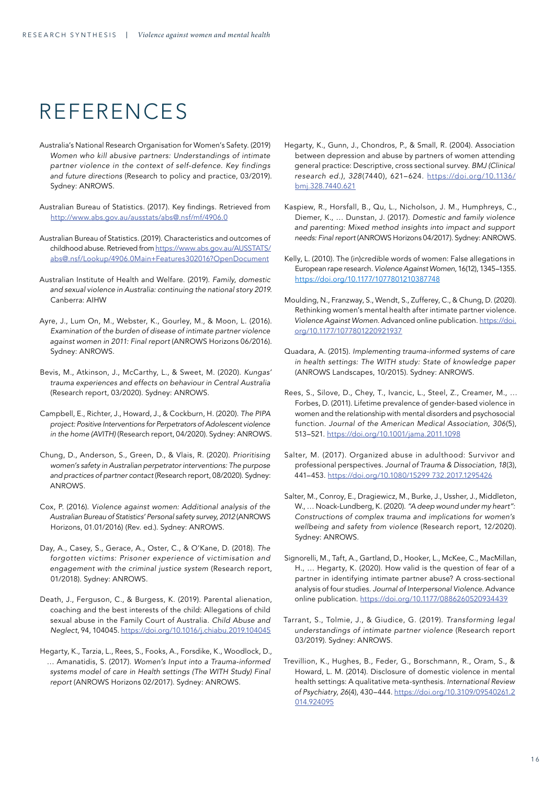# REFERENCES

- Australia's National Research Organisation for Women's Safety. (2019) *Women who kill abusive partners: Understandings of intimate partner violence in the context of self-defence. Key findings and future directions* (Research to policy and practice, 03/2019). Sydney: ANROWS.
- Australian Bureau of Statistics. (2017). Key findings. Retrieved from <http://www.abs.gov.au/ausstats/abs@.nsf/mf/4906.0>
- Australian Bureau of Statistics. (2019). Characteristics and outcomes of childhood abuse. Retrieved from [https://www.abs.gov.au/AUSSTATS/](https://www.abs.gov.au/AUSSTATS/abs@.nsf/Lookup/4906.0Main+Features302016?OpenDocument) [abs@.nsf/Lookup/4906.0Main+Features302016?OpenDocument](https://www.abs.gov.au/AUSSTATS/abs@.nsf/Lookup/4906.0Main+Features302016?OpenDocument)
- Australian Institute of Health and Welfare. (2019). *Family, domestic and sexual violence in Australia: continuing the national story 2019*. Canberra: AIHW
- Ayre, J., Lum On, M., Webster, K., Gourley, M., & Moon, L. (2016). *Examination of the burden of disease of intimate partner violence against women in 2011: Final report* (ANROWS Horizons 06/2016). Sydney: ANROWS.
- Bevis, M., Atkinson, J., McCarthy, L., & Sweet, M. (2020). *Kungas' trauma experiences and effects on behaviour in Central Australia* (Research report, 03/2020). Sydney: ANROWS.
- Campbell, E., Richter, J., Howard, J., & Cockburn, H. (2020). *The PIPA project: Positive Interventions for Perpetrators of Adolescent violence in the home (AVITH)* (Research report, 04/2020). Sydney: ANROWS.
- Chung, D., Anderson, S., Green, D., & Vlais, R. (2020). *Prioritising women's safety in Australian perpetrator interventions: The purpose and practices of partner contact* (Research report, 08/2020). Sydney: ANROWS.
- Cox, P. (2016). *Violence against women: Additional analysis of the Australian Bureau of Statistics' Personal safety survey, 2012* (ANROWS Horizons, 01.01/2016) (Rev. ed.). Sydney: ANROWS.
- Day, A., Casey, S., Gerace, A., Oster, C., & O'Kane, D. (2018). *The forgotten victims: Prisoner experience of victimisation and engagement with the criminal justice system* (Research report, 01/2018). Sydney: ANROWS.
- Death, J., Ferguson, C., & Burgess, K. (2019). Parental alienation, coaching and the best interests of the child: Allegations of child sexual abuse in the Family Court of Australia. *Child Abuse and Neglect*, 94, 104045.<https://doi.org/10.1016/j.chiabu.2019.104045>
- Hegarty, K., Tarzia, L., Rees, S., Fooks, A., Forsdike, K., Woodlock, D., … Amanatidis, S. (2017). *Women's Input into a Trauma-informed systems model of care in Health settings (The WITH Study) Final report* (ANROWS Horizons 02/2017). Sydney: ANROWS.
- Hegarty, K., Gunn, J., Chondros, P., & Small, R. (2004). Association between depression and abuse by partners of women attending general practice: Descriptive, cross sectional survey. *BMJ (Clinical research ed.)*, *328*(7440), 621–624. [https://doi.org/10.1136/](https://doi.org/10.1136/bmj.328.7440.621) [bmj.328.7440.621](https://doi.org/10.1136/bmj.328.7440.621)
- Kaspiew, R., Horsfall, B., Qu, L., Nicholson, J. M., Humphreys, C., Diemer, K., … Dunstan, J. (2017). *Domestic and family violence and parenting: Mixed method insights into impact and support needs: Final report* (ANROWS Horizons 04/2017). Sydney: ANROWS.
- Kelly, L. (2010). The (in)credible words of women: False allegations in European rape research. *Violence Against Women*, 16(12), 1345–1355. [https://doi.org/10.1177/1077801210387748](https://doi.org/10.1177%2F1077801210387748)
- Moulding, N., Franzway, S., Wendt, S., Zufferey, C., & Chung, D. (2020). Rethinking women's mental health after intimate partner violence. *Violence Against Women.* Advanced online publication. [https://doi.](https://doi.org/10.1177/1077801220921937) [org/10.1177/1077801220921937](https://doi.org/10.1177/1077801220921937)
- Quadara, A. (2015). *Implementing trauma-informed systems of care in health settings: The WITH study: State of knowledge paper* (ANROWS Landscapes, 10/2015). Sydney: ANROWS.
- Rees, S., Silove, D., Chey, T., Ivancic, L., Steel, Z., Creamer, M., … Forbes, D. (2011). Lifetime prevalence of gender-based violence in women and the relationship with mental disorders and psychosocial function. *Journal of the American Medical Association, 306*(5), 513–521. <https://doi.org/10.1001/jama.2011.1098>
- Salter, M. (2017). Organized abuse in adulthood: Survivor and professional perspectives. *Journal of Trauma & Dissociation, 18*(3), 441–453. <https://doi.org/10.1080/15299 732.2017.1295426>
- Salter, M., Conroy, E., Dragiewicz, M., Burke, J., Ussher, J., Middleton, W., … Noack-Lundberg, K. (2020). *"A deep wound under my heart": Constructions of complex trauma and implications for women's wellbeing and safety from violence* (Research report, 12/2020). Sydney: ANROWS.
- Signorelli, M., Taft, A., Gartland, D., Hooker, L., McKee, C., MacMillan, H., … Hegarty, K. (2020). How valid is the question of fear of a partner in identifying intimate partner abuse? A cross-sectional analysis of four studies. *Journal of Interpersonal Violence*. Advance online publication. <https://doi.org/10.1177/0886260520934439>
- Tarrant, S., Tolmie, J., & Giudice, G. (2019). *Transforming legal understandings of intimate partner violence* (Research report 03/2019). Sydney: ANROWS.
- Trevillion, K., Hughes, B., Feder, G., Borschmann, R., Oram, S., & Howard, L. M. (2014). Disclosure of domestic violence in mental health settings: A qualitative meta-synthesis. *International Review of Psychiatry, 26*(4), 430–444. [https://doi.org/10.3109/09540261.2](https://doi.org/10.3109/09540261.2014.924095) [014.924095](https://doi.org/10.3109/09540261.2014.924095)